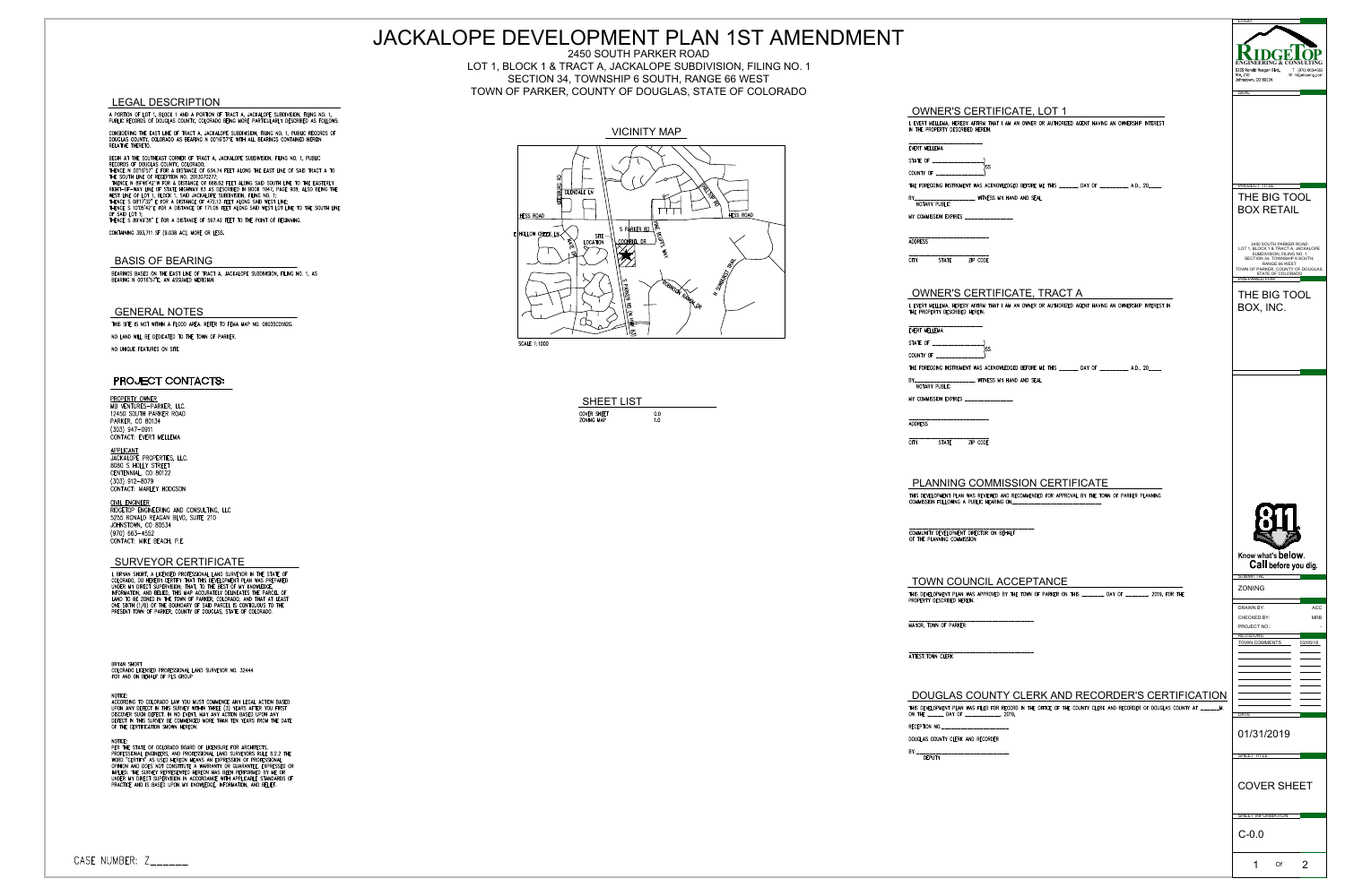





|                                                                                                                                                                                                                                                                     | JACKALOPE DEVELOPMENT PLAN 1ST AMENDMENT                                                                                               |                                                                                                                                                                        | <u>LOGO</u>                                                                                                     |
|---------------------------------------------------------------------------------------------------------------------------------------------------------------------------------------------------------------------------------------------------------------------|----------------------------------------------------------------------------------------------------------------------------------------|------------------------------------------------------------------------------------------------------------------------------------------------------------------------|-----------------------------------------------------------------------------------------------------------------|
|                                                                                                                                                                                                                                                                     | 2450 SOUTH PARKER ROAD<br>LOT 1, BLOCK 1 & TRACT A, JACKALOPE SUBDIVISION, FILING NO. 1<br>SECTION 34, TOWNSHIP 6 SOUTH, RANGE 66 WEST |                                                                                                                                                                        | CONSULTIN<br>255 Ronald Reagan Blyd<br>T (970) 663-4552<br>Ste. 210<br>Johnstown, CO 80534<br>W ridgetopeng.com |
| <b>EGAL DESCRIPTION</b>                                                                                                                                                                                                                                             | TOWN OF PARKER, COUNTY OF DOUGLAS, STATE OF COLORADO                                                                                   |                                                                                                                                                                        |                                                                                                                 |
| PORTION OF LOT 1, BLOCK 1 AND A PORTION OF TRACT A, JACKALOPE SUBDIVISION, FILING NO. 1,<br>BLIC RECORDS OF DOUGLAS COUNTY, COLORADO BEING MORE PARTICULARLY DESCRIBED AS FOLLOWS:                                                                                  |                                                                                                                                        | <b>OWNER'S CERTIFICATE, LOT 1</b><br>I, EVERT MELLEMA, HEREBY AFFIRM THAT I AM AN OWNER OR AUTHORIZED AGENT HAVING AN OWNERSHIP INTEREST                               |                                                                                                                 |
| NSIDERING THE EAST LINE OF TRACT A, JACKALOPE SUBDIVISION, FILING NO. 1, PUBLIC RECORDS OF<br>UGLAS COUNTY, COLORADO AS BEARING N 00°16'57"E WITH ALL BEARINGS CONTAINED HEREIN<br>LATIVE THERETO.                                                                  | <b>VICINITY MAP</b>                                                                                                                    | IN THE PROPERTY DESCRIBED HEREIN.                                                                                                                                      |                                                                                                                 |
| GIN AT THE SOUTHEAST CORNER OF TRACT A, JACKALOPE SUBDIVISION, FILING NO. 1, PUBLIC                                                                                                                                                                                 |                                                                                                                                        | EVERT MELLEMA<br>STATE OF                                                                                                                                              |                                                                                                                 |
| CORDS OF DOUGLAS COUNTY, COLORADO;<br>ENCE N 0016'57" E FOR A DISTANCE OF 634.74 FEET ALONG THE EAST LINE OF SAID TRACT A TO<br>E SOUTH LINE OF RECEPTION NO. 2013070277;<br>HENCE N 89°46'42"W FOR A DISTANCE OF 668.62 FEET ALONG SAID SOUTH LINE TO THE EASTERLY |                                                                                                                                        | COUNTY OF __________________)                                                                                                                                          |                                                                                                                 |
| HT-OF-WAY LINE OF STATE HIGHWAY 83 AS DESCRIBED IN BOOK 1047, PAGE 908, ALSO BEING THE<br>ST LINE OF LOT 1, BLOCK 1, SAID JACKALOPE SUBDIVISION, FILING NO. 1;                                                                                                      | <b>GLENDALE LN</b>                                                                                                                     | THE FOREGOING INSTRUMENT WAS ACKNOWLEDGED BEFORE ME THIS ______ DAY OF ________ A.D., 20____<br>BY________________________ WINESS MY HAND AND SEAL                     | <b>PROJECT TITLE</b><br>THE BIG TOOL                                                                            |
| ENCE S 08"17'32" E FOR A DISTANCE OF 472.13 FEET ALONG SAID WEST LINE;<br>INCE S 10°05'42"E FOR A DISTANCE OF 171.06 FEET ALONG SAID WEST LOT LINE TO THE SOUTH LINE<br>SAID LOT 1;<br>ENCE S 89°49'38" E FOR A DISTANCE OF 567.42 FEET TO THE POINT OF BEGINNING.  | HESS ROAD<br>HESS ROAD                                                                                                                 | NOTARY PUBLIC<br>MY COMMISSION EXPIRES _______________                                                                                                                 | <b>BOX RETAIL</b>                                                                                               |
| NTAINING 393,711 SF (9.038 AC), MORE OR LESS.                                                                                                                                                                                                                       | SPARKERRD<br>E HOLLOW CREEK LN<br>SITE                                                                                                 | -----------------------                                                                                                                                                |                                                                                                                 |
|                                                                                                                                                                                                                                                                     | <u>, COCKRIEL DR_</u><br><b>LOCATION</b>                                                                                               | <b>ADDRESS</b>                                                                                                                                                         | 2450 SOUTH PARKER ROAD<br>LOT 1, BLOCK 1 & TRACT A, JACKALOPE<br>SUBDIVISION, FILING NO. 1                      |
| <b>BASIS OF BEARING</b>                                                                                                                                                                                                                                             |                                                                                                                                        | <b>STATE</b><br>ZIP CODE<br><b>CITY</b>                                                                                                                                | SECTION 34, TOWNSHIP 6 SOUTH,<br>RANGE 66 WEST<br>TOWN OF PARKER, COUNTY OF DOUGLAS,                            |
| EARINGS BASED ON THE EAST LINE OF TRACT A, JACKALOPE SUBDIVISION, FILING NO. 1, AS<br>EARING N 00"16'57"E, AN ASSUMED MERIDIAN.                                                                                                                                     |                                                                                                                                        |                                                                                                                                                                        | STATE OF COLORADO                                                                                               |
|                                                                                                                                                                                                                                                                     |                                                                                                                                        | <b>OWNER'S CERTIFICATE, TRACT A</b><br>I, EVERT MELLEMA, HEREBY AFFIRM THAT I AM AN OWNER OR AUTHORIZED AGENT HAVING AN OWNERSHIP INTEREST IN                          | THE BIG TOOL<br>BOX, INC.                                                                                       |
| <b>GENERAL NOTES</b><br>HIS SITE IS NOT WITHIN A FLOOD AREA. REFER TO FEMA MAP NO. 08035C0182G.                                                                                                                                                                     |                                                                                                                                        | THE PROPERTY DESCRIBED HEREIN.                                                                                                                                         |                                                                                                                 |
| O LAND WILL BE DEDICATED TO THE TOWN OF PARKER.                                                                                                                                                                                                                     | <b>SCALE 1:1000</b>                                                                                                                    | EVERT MELLEMA                                                                                                                                                          |                                                                                                                 |
| O UNIQUE FEATURES ON SITE.                                                                                                                                                                                                                                          |                                                                                                                                        | COUNTY OF                                                                                                                                                              |                                                                                                                 |
| <b>PROJECT CONTACTS:</b>                                                                                                                                                                                                                                            |                                                                                                                                        | THE FOREGOING INSTRUMENT WAS ACKNOWLEDGED BEFORE ME THIS ______ DAY OF ________ A.D., 20____<br>BY_____________________ WINESS MY HAND AND SEAL                        |                                                                                                                 |
| ROPERTY OWNER                                                                                                                                                                                                                                                       |                                                                                                                                        | NOTARY PUBLIC<br>MY COMMISSION EXPIRES ________________                                                                                                                |                                                                                                                 |
| B VENTURES-PARKER, LLC.<br>450 SOUTH PARKER ROAD                                                                                                                                                                                                                    | <b>SHEET LIST</b><br>COVER SHEET<br>0.0                                                                                                |                                                                                                                                                                        |                                                                                                                 |
| ARKER, CO 80134<br>03) 947-0911<br>DNTACT: EVERT MELLEMA                                                                                                                                                                                                            | ZONING MAP<br>1.0                                                                                                                      | _______________________<br><b>ADDRESS</b>                                                                                                                              |                                                                                                                 |
| PPLICANT                                                                                                                                                                                                                                                            |                                                                                                                                        | <b>STATE</b><br>ZIP CODE<br><b>CITY</b>                                                                                                                                |                                                                                                                 |
| <b>CKALOPE PROPERTIES, LLC.</b><br>080 S HOLLY STREET<br>NTENNIAL, CO 80122                                                                                                                                                                                         |                                                                                                                                        |                                                                                                                                                                        |                                                                                                                 |
| 03) 912-8079<br>ONTACT: MARLEY HODGSON                                                                                                                                                                                                                              |                                                                                                                                        | <b>PLANNING COMMISSION CERTIFICATE</b>                                                                                                                                 |                                                                                                                 |
| <u>VIL ENGINEER</u><br>DGETOP ENGINEERING AND CONSULTING, LLC                                                                                                                                                                                                       |                                                                                                                                        | THIS DEVELOPMENT PLAN WAS REVIEWED AND RECOMMENDED FOR APPROVAL BY THE TOWN OF PARKER PLANNING<br>COMMISSION FOLLOWING A PUBLIC HEARING ON_                            |                                                                                                                 |
| 255 RONALD REAGAN BLVD, SUITE 210<br>HNSTOWN, CO 80534                                                                                                                                                                                                              |                                                                                                                                        |                                                                                                                                                                        |                                                                                                                 |
| 70) 663-4552<br>DNTACT: MIKE BEACH, P.E.                                                                                                                                                                                                                            |                                                                                                                                        | COMMUNITY DEVELOPMENT DIRECTOR ON BEHALF<br>OF THE PLANNING COMMISSION                                                                                                 |                                                                                                                 |
| <b>SURVEYOR CERTIFICATE</b>                                                                                                                                                                                                                                         |                                                                                                                                        |                                                                                                                                                                        | Know what's below.<br>Call before you dig.                                                                      |
| BRYAN SHORT, A LICENSED PROFESSIONAL LAND SURVEYOR IN THE STATE OF<br>OLORADO, DO HEREBY CERTIFY THAT THIS DEVELOPMENT PLAN WAS PREPARED                                                                                                                            |                                                                                                                                        | TOWN COUNCIL ACCEPTANCE                                                                                                                                                | <b>SUBMITTAL</b>                                                                                                |
| NDER MY DIRECT SUPERVISION; THAT, TO THE BEST OF MY KNOWLEDGE,<br>FORMATION, AND BELIED, THIS MAP ACCURATELY DELINEATES THE PARCEL OF<br>AND TO BE ZONED IN THE TOWN OF PARKER, COLORADO; AND THAT AT LEAST                                                         |                                                                                                                                        | THIS DEVELOPMENT PLAN WAS APPROVED BY THE TOWN OF PARKER ON THIS _______ DAY OF _______, 2019, FOR THE<br>PROPERTY DESCRIBED HEREIN.                                   | ZONING                                                                                                          |
| NE SIXTH (1/6) OF THE BOUNDARY OF SAID PARCEL IS CONTIGUOUS TO THE<br>RESENT TOWN OF PARKER, COUNTY OF DOUGLAS, STATE OF COLORADO.                                                                                                                                  |                                                                                                                                        |                                                                                                                                                                        | ACC<br><b>DRAWN BY:</b><br>CHECKED BY:<br><b>MRB</b>                                                            |
|                                                                                                                                                                                                                                                                     |                                                                                                                                        | MAYOR, TOWN OF PARKER                                                                                                                                                  | PROJECT NO.:<br><b>REVISIONS</b>                                                                                |
|                                                                                                                                                                                                                                                                     |                                                                                                                                        | ATTEST: TOWN CLERK                                                                                                                                                     | TOWN COMMENTS<br>03/05/18                                                                                       |
| <b>TAOHE MAYS</b><br>OLORADO LICENSED PROFESSIONAL LAND SURVEYOR NO. 32444<br>OR AND ON BEHALF OF PLS GROUP                                                                                                                                                         |                                                                                                                                        |                                                                                                                                                                        |                                                                                                                 |
|                                                                                                                                                                                                                                                                     |                                                                                                                                        | DOUGLAS COUNTY CLERK AND RECORDER'S CERTIFICATION                                                                                                                      |                                                                                                                 |
| CORDING TO COLORADO LAW YOU MUST COMMENCE ANY LEGAL ACTION BASED<br>PON ANY DEFECT IN THIS SURVEY WITHIN THREE (3) YEARS AFTER YOU FIRST<br>SCOVER SUCH DEFECT. IN NO EVENT, MAY ANY ACTION BASED UPON ANY                                                          |                                                                                                                                        | THIS DEVELOPMENT PLAN WAS FILED FOR RECORD IN THE OFFICE OF THE COUNTY CLERK AND RECORDER OF DOUGLAS COUNTY AT ______M.<br>ON THE _______ DAY OF ______________, 2019, |                                                                                                                 |
| EFECT IN THIS SURVEY BE COMMENCED MORE THAN TEN YEARS FROM THE DATE<br>THE CERTIFICATION SHOWN HEREON.                                                                                                                                                              |                                                                                                                                        | RECEPTION NO. _________________________                                                                                                                                | <b>DATE</b>                                                                                                     |
| ER THE STATE OF COLORADO BOARD OF LICENSURE FOR ARCHITECTS,                                                                                                                                                                                                         |                                                                                                                                        | DOUGLAS COUNTY CLERK AND RECORDER                                                                                                                                      | 01/31/2019                                                                                                      |
| ROFESSIONAL ENGINEERS, AND PROFESSIONAL LAND SURVEYORS RULE 6.2.2 THE<br>ORD "CERTIFY" AS USED HEREON MEANS AN EXPRESSION OF PROFESSIONAL<br>PINION AND DOES NOT CONSTITUTE A WARRANTY OR GUARANTEE, EXPRESSED OR                                                   |                                                                                                                                        |                                                                                                                                                                        | SHEET TITLE                                                                                                     |
| PLIED. THE SURVEY REPRESENTED HEREON HAS BEEN PERFORMED BY ME OR<br>NDER MY DIRECT SUPERVISION IN ACCORDANCE WITH APPLICABLE STANDARDS OF<br>RACTICE AND IS BASED UPON MY KNOWLEDGE, INFORMATION, AND BELIEF.                                                       |                                                                                                                                        |                                                                                                                                                                        | <b>COVER SHEET</b>                                                                                              |
|                                                                                                                                                                                                                                                                     |                                                                                                                                        |                                                                                                                                                                        |                                                                                                                 |
|                                                                                                                                                                                                                                                                     |                                                                                                                                        |                                                                                                                                                                        | SHEET INFORMATION                                                                                               |
|                                                                                                                                                                                                                                                                     |                                                                                                                                        |                                                                                                                                                                        | $C-0.0$                                                                                                         |
| ABER: Z______                                                                                                                                                                                                                                                       |                                                                                                                                        |                                                                                                                                                                        |                                                                                                                 |
|                                                                                                                                                                                                                                                                     |                                                                                                                                        |                                                                                                                                                                        | Of                                                                                                              |